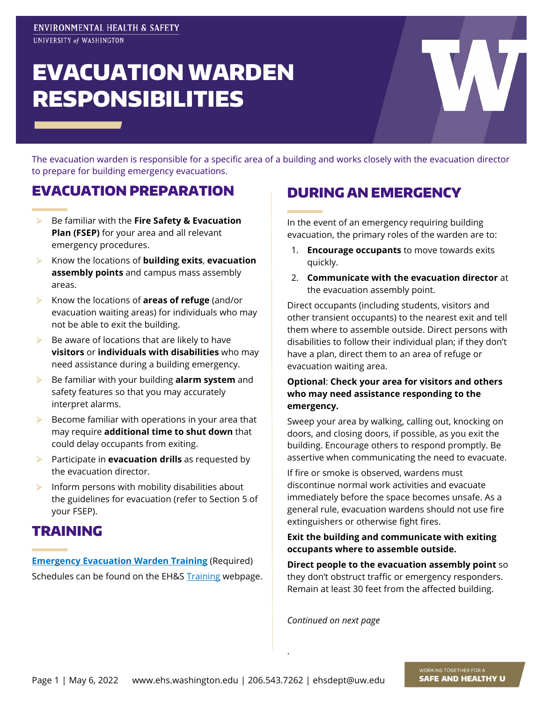# EVACUATION WARDEN RESPONSIBILITIES

The evacuation warden is responsible for a specific area of a building and works closely with the evacuation director to prepare for building emergency evacuations.

### EVACUATION PREPARATION

- Be familiar with the **Fire Safety & Evacuation Plan (FSEP)** for your area and all relevant emergency procedures.
- Know the locations of **building exits**, **evacuation assembly points** and campus mass assembly areas.
- Know the locations of **areas of refuge** (and/or evacuation waiting areas) for individuals who may not be able to exit the building.
- $\triangleright$  Be aware of locations that are likely to have **visitors** or **individuals with disabilities** who may need assistance during a building emergency.
- Be familiar with your building **alarm system** and safety features so that you may accurately interpret alarms.
- $\triangleright$  Become familiar with operations in your area that may require **additional time to shut down** that could delay occupants from exiting.
- Participate in **evacuation drills** as requested by the evacuation director.
- $\blacktriangleright$  Inform persons with mobility disabilities about the guidelines for evacuation (refer to Section 5 of your FSEP).

#### TRAINING

**[Emergency Evacuation Warden Training](https://www.ehs.washington.edu/training/emergency-evacuation-warden-training-online) (Required)** Schedules can be found on the EH&S [Training](https://www.ehs.washington.edu/training) webpage.

## DURING AN EMERGENCY

In the event of an emergency requiring building evacuation, the primary roles of the warden are to:

- 1. **Encourage occupants** to move towards exits quickly.
- 2. **Communicate with the evacuation director** at the evacuation assembly point.

Direct occupants (including students, visitors and other transient occupants) to the nearest exit and tell them where to assemble outside. Direct persons with disabilities to follow their individual plan; if they don't have a plan, direct them to an area of refuge or evacuation waiting area.

#### **Optional**: **Check your area for visitors and others who may need assistance responding to the emergency.**

Sweep your area by walking, calling out, knocking on doors, and closing doors, if possible, as you exit the building. Encourage others to respond promptly. Be assertive when communicating the need to evacuate.

If fire or smoke is observed, wardens must discontinue normal work activities and evacuate immediately before the space becomes unsafe. As a general rule, evacuation wardens should not use fire extinguishers or otherwise fight fires.

#### **Exit the building and communicate with exiting occupants where to assemble outside.**

**Direct people to the evacuation assembly point** so they don't obstruct traffic or emergency responders. Remain at least 30 feet from the affected building.

*Continued on next page*

.